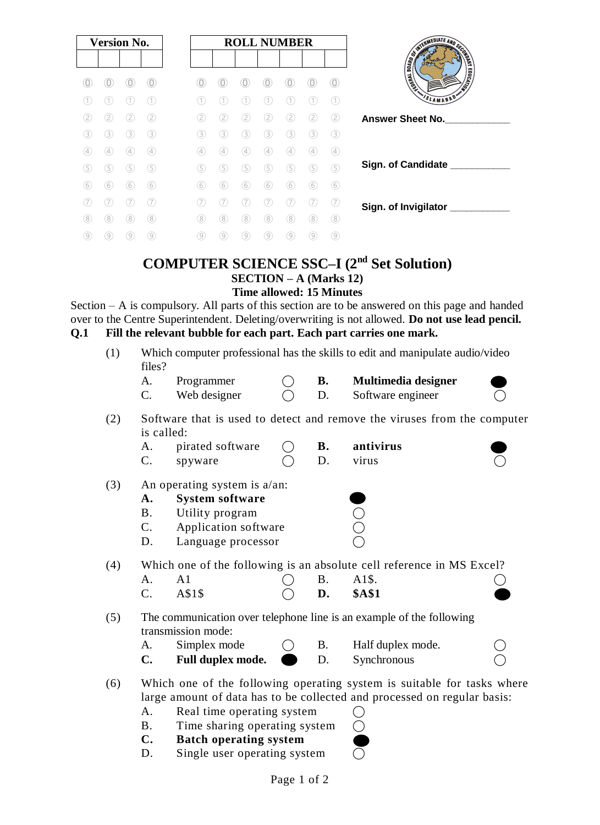|     | <b>Version No.</b> |     |     |  |     |                   |     | <b>ROLL NUMBER</b> |     |               |                   |
|-----|--------------------|-----|-----|--|-----|-------------------|-----|--------------------|-----|---------------|-------------------|
|     |                    |     |     |  |     |                   |     |                    |     |               |                   |
| U   |                    |     |     |  |     |                   |     |                    |     |               | $\odot$           |
|     |                    |     |     |  |     |                   |     |                    |     |               | Œ                 |
| 2.  | 2.                 | 2   | (2) |  | 2   | 2.                | [2] | (2)                | (2) | $\circled{2}$ | $\circled{2}$     |
| (3) | 3)                 | (3) | (3) |  | 3.  | (3)               | 3)  | (3)                | 3   | (3)           | <b>3</b>          |
| (4) | 4                  | 4   | (4) |  | (4) | $\left( 4\right)$ | (4) | (4)                | (4  | (4)           | $\left( 4\right)$ |
| (5) | 5                  | (5) | (5) |  | (5) | G                 | 5   | G)                 | (5) | $\circ$       | $\circledS$       |
| (6  | 6                  | (6) | (6) |  | (6) | (6)               | (6) | 6                  | 6   | (6)           | $\circled6$       |
|     |                    |     |     |  |     |                   |     |                    |     |               | $\sqrt{7}$        |
| 8   | 8                  | 8   | (8) |  | (8) | 8                 | `8  | 8                  | 8   | 8             | (8)               |
| (9) | 9                  | 9   | (9) |  | (9) | (9)               | 9.  | (9)                | 9   | (9)           | ⊚                 |

# **COMPUTER SCIENCE SSC–I (2nd Set Solution)**

**SECTION – A (Marks 12)**

**Time allowed: 15 Minutes**

Section – A is compulsory. All parts of this section are to be answered on this page and handed over to the Centre Superintendent. Deleting/overwriting is not allowed. **Do not use lead pencil. Q.1 Fill the relevant bubble for each part. Each part carries one mark.**

| (1) | Which computer professional has the skills to edit and manipulate audio/video<br>files? |                               |  |           |                                                                          |  |  |  |  |
|-----|-----------------------------------------------------------------------------------------|-------------------------------|--|-----------|--------------------------------------------------------------------------|--|--|--|--|
|     | A.                                                                                      | Programmer                    |  | В.        | Multimedia designer                                                      |  |  |  |  |
|     | C.                                                                                      | Web designer                  |  | D.        | Software engineer                                                        |  |  |  |  |
|     |                                                                                         |                               |  |           |                                                                          |  |  |  |  |
| (2) | is called:                                                                              |                               |  |           | Software that is used to detect and remove the viruses from the computer |  |  |  |  |
|     | А.                                                                                      | pirated software              |  | <b>B.</b> | antivirus                                                                |  |  |  |  |
|     | $C$ .                                                                                   | spyware                       |  | D.        | virus                                                                    |  |  |  |  |
|     |                                                                                         |                               |  |           |                                                                          |  |  |  |  |
| (3) |                                                                                         | An operating system is a/an:  |  |           |                                                                          |  |  |  |  |
|     | A.                                                                                      | <b>System software</b>        |  |           |                                                                          |  |  |  |  |
|     | <b>B.</b>                                                                               | Utility program               |  |           |                                                                          |  |  |  |  |
|     | $C$ .                                                                                   | Application software          |  |           |                                                                          |  |  |  |  |
|     | D.                                                                                      | Language processor            |  |           |                                                                          |  |  |  |  |
|     |                                                                                         |                               |  |           |                                                                          |  |  |  |  |
| (4) | Which one of the following is an absolute cell reference in MS Excel?                   |                               |  |           |                                                                          |  |  |  |  |
|     | A.                                                                                      | A <sub>1</sub>                |  | <b>B.</b> | A1\$.                                                                    |  |  |  |  |
|     | C.                                                                                      | A\$1\$                        |  | D.        | <b>\$A\$1</b>                                                            |  |  |  |  |
|     |                                                                                         |                               |  |           |                                                                          |  |  |  |  |
| (5) | The communication over telephone line is an example of the following                    |                               |  |           |                                                                          |  |  |  |  |
|     |                                                                                         | transmission mode:            |  |           |                                                                          |  |  |  |  |
|     | A.                                                                                      | Simplex mode                  |  | <b>B.</b> | Half duplex mode.                                                        |  |  |  |  |
|     | $\mathbf{C}$ .                                                                          | Full duplex mode.             |  | D.        | Synchronous                                                              |  |  |  |  |
|     |                                                                                         |                               |  |           |                                                                          |  |  |  |  |
| (6) | Which one of the following operating system is suitable for tasks where                 |                               |  |           |                                                                          |  |  |  |  |
|     | large amount of data has to be collected and processed on regular basis:                |                               |  |           |                                                                          |  |  |  |  |
|     | A.                                                                                      | Real time operating system    |  |           |                                                                          |  |  |  |  |
|     | <b>B.</b>                                                                               | Time sharing operating system |  |           |                                                                          |  |  |  |  |
|     | $\mathbf{C}$ .                                                                          | <b>Batch operating system</b> |  |           |                                                                          |  |  |  |  |
|     | D.                                                                                      | Single user operating system  |  |           |                                                                          |  |  |  |  |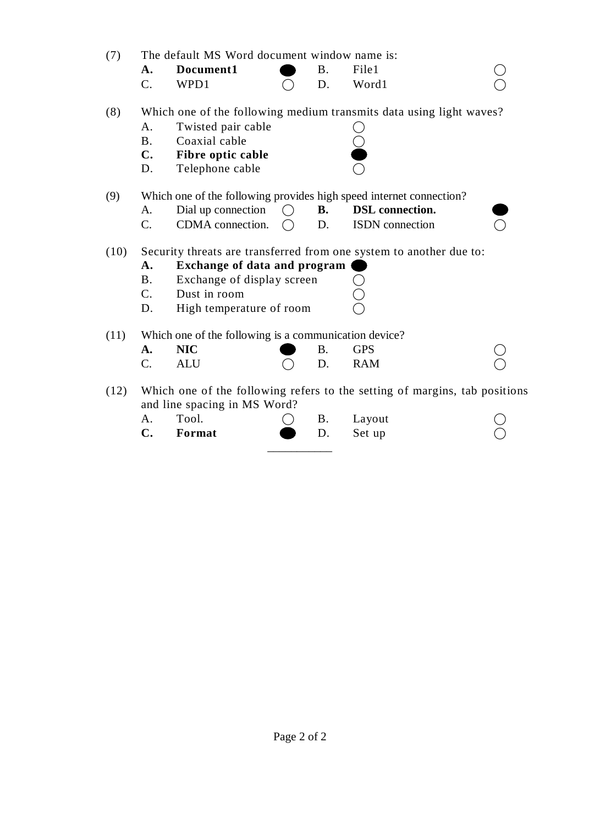| (7)  | The default MS Word document window name is: |                                                       |     |           |                                                                            |  |  |  |
|------|----------------------------------------------|-------------------------------------------------------|-----|-----------|----------------------------------------------------------------------------|--|--|--|
|      | A.                                           | Document1                                             |     | <b>B.</b> | File1                                                                      |  |  |  |
|      | $\mathcal{C}$ .                              | WPD1                                                  |     | D.        | Word1                                                                      |  |  |  |
| (8)  |                                              |                                                       |     |           | Which one of the following medium transmits data using light waves?        |  |  |  |
|      | А.                                           | Twisted pair cable                                    |     |           |                                                                            |  |  |  |
|      | <b>B.</b>                                    | Coaxial cable                                         |     |           |                                                                            |  |  |  |
|      | $\mathbf{C}$ .                               | Fibre optic cable                                     |     |           |                                                                            |  |  |  |
|      | D.                                           | Telephone cable                                       |     |           |                                                                            |  |  |  |
| (9)  |                                              |                                                       |     |           | Which one of the following provides high speed internet connection?        |  |  |  |
|      | A.                                           | Dial up connection                                    |     | <b>B.</b> | <b>DSL</b> connection.                                                     |  |  |  |
|      | $C_{\cdot}$                                  | CDMA connection.                                      | ( ) | D.        | <b>ISDN</b> connection                                                     |  |  |  |
| (10) |                                              |                                                       |     |           | Security threats are transferred from one system to another due to:        |  |  |  |
|      | А.                                           | <b>Exchange of data and program</b>                   |     |           |                                                                            |  |  |  |
|      | <b>B.</b>                                    | Exchange of display screen                            |     |           |                                                                            |  |  |  |
|      | $C_{\cdot}$                                  | Dust in room                                          |     |           |                                                                            |  |  |  |
|      | D.                                           | High temperature of room                              |     |           |                                                                            |  |  |  |
| (11) |                                              | Which one of the following is a communication device? |     |           |                                                                            |  |  |  |
|      | A.                                           | <b>NIC</b>                                            |     | <b>B.</b> | <b>GPS</b>                                                                 |  |  |  |
|      | $C$ .                                        | <b>ALU</b>                                            |     | D.        | <b>RAM</b>                                                                 |  |  |  |
| (12) |                                              | and line spacing in MS Word?                          |     |           | Which one of the following refers to the setting of margins, tab positions |  |  |  |
|      | А.                                           | Tool.                                                 |     | <b>B.</b> | Layout                                                                     |  |  |  |

\_\_\_\_\_\_\_\_\_\_\_

**C. Format**  $\bullet$  **D.** Set up  $\bullet$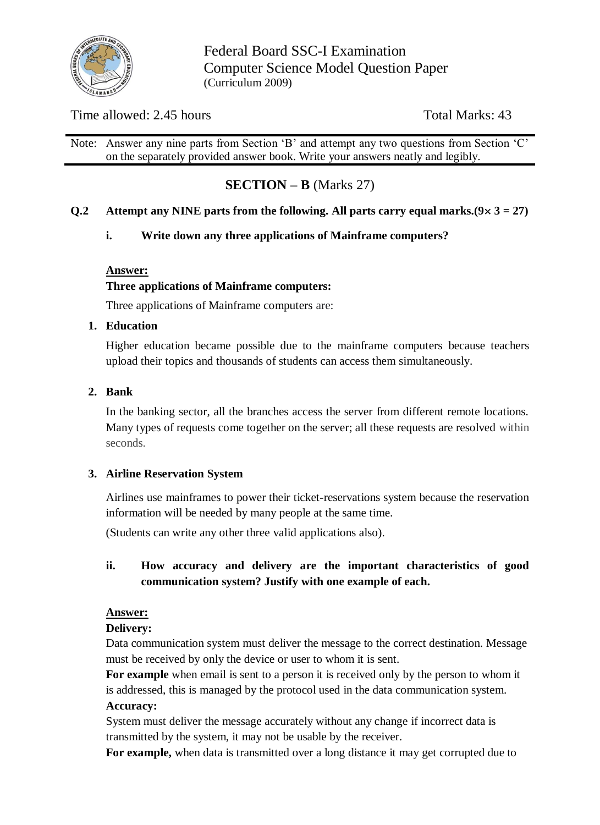

Federal Board SSC-I Examination Computer Science Model Question Paper (Curriculum 2009)

# Time allowed: 2.45 hours Total Marks: 43

Note: Answer any nine parts from Section 'B' and attempt any two questions from Section 'C' on the separately provided answer book. Write your answers neatly and legibly.

# **SECTION – B** (Marks 27)

### **Q.2** Attempt any NINE parts from the following. All parts carry equal marks. $(9 \times 3 = 27)$

### **i. Write down any three applications of Mainframe computers?**

#### **Answer:**

### **Three applications of Mainframe computers:**

Three applications of Mainframe computers are:

#### **1. Education**

Higher education became possible due to the mainframe computers because teachers upload their topics and thousands of students can access them simultaneously.

#### **2. Bank**

In the banking sector, all the branches access the server from different remote locations. Many types of requests come together on the server; all these requests are resolved within seconds.

### **3. Airline Reservation System**

Airlines use mainframes to power their ticket-reservations system because the reservation information will be needed by many people at the same time.

(Students can write any other three valid applications also).

# **ii. How accuracy and delivery are the important characteristics of good communication system? Justify with one example of each.**

#### **Answer:**

#### **Delivery:**

Data communication system must deliver the message to the correct destination. Message must be received by only the device or user to whom it is sent.

**For example** when email is sent to a person it is received only by the person to whom it is addressed, this is managed by the protocol used in the data communication system. **Accuracy:**

System must deliver the message accurately without any change if incorrect data is transmitted by the system, it may not be usable by the receiver.

**For example,** when data is transmitted over a long distance it may get corrupted due to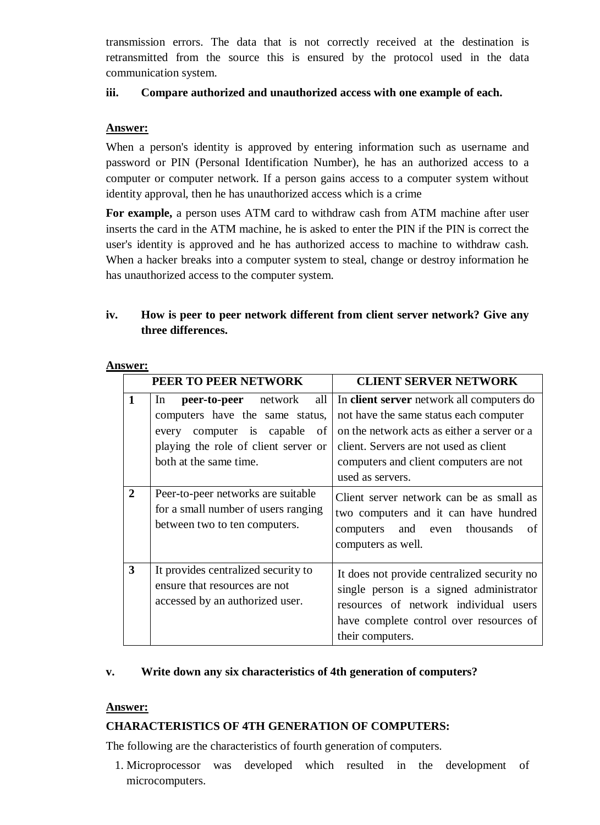transmission errors. The data that is not correctly received at the destination is retransmitted from the source this is ensured by the protocol used in the data communication system.

### **iii. Compare authorized and unauthorized access with one example of each.**

#### **Answer:**

When a person's identity is approved by entering information such as username and password or PIN (Personal Identification Number), he has an authorized access to a computer or computer network. If a person gains access to a computer system without identity approval, then he has unauthorized access which is a crime

**For example,** a person uses ATM card to withdraw cash from ATM machine after user inserts the card in the ATM machine, he is asked to enter the PIN if the PIN is correct the user's identity is approved and he has authorized access to machine to withdraw cash. When a hacker breaks into a computer system to steal, change or destroy information he has unauthorized access to the computer system.

# **iv. How is peer to peer network different from client server network? Give any three differences.**

|                         | PEER TO PEER NETWORK                                                                                                                                                             | <b>CLIENT SERVER NETWORK</b>                                                                                                                                                                                                               |
|-------------------------|----------------------------------------------------------------------------------------------------------------------------------------------------------------------------------|--------------------------------------------------------------------------------------------------------------------------------------------------------------------------------------------------------------------------------------------|
| $\mathbf{1}$            | all<br><b>peer-to-peer</b> network<br>ln<br>computers have the same status,<br>computer is capable of<br>every<br>playing the role of client server or<br>both at the same time. | In client server network all computers do<br>not have the same status each computer<br>on the network acts as either a server or a<br>client. Servers are not used as client<br>computers and client computers are not<br>used as servers. |
| $\mathbf{2}$            | Peer-to-peer networks are suitable<br>for a small number of users ranging<br>between two to ten computers.                                                                       | Client server network can be as small as<br>two computers and it can have hundred<br>computers and even thousands<br>of<br>computers as well.                                                                                              |
| $\overline{\mathbf{3}}$ | It provides centralized security to<br>ensure that resources are not<br>accessed by an authorized user.                                                                          | It does not provide centralized security no<br>single person is a signed administrator<br>resources of network individual users<br>have complete control over resources of<br>their computers.                                             |

**Answer:**

### **v. Write down any six characteristics of 4th generation of computers?**

#### **Answer:**

#### **CHARACTERISTICS OF 4TH GENERATION OF COMPUTERS:**

The following are the characteristics of fourth generation of computers.

1. Microprocessor was developed which resulted in the development of microcomputers.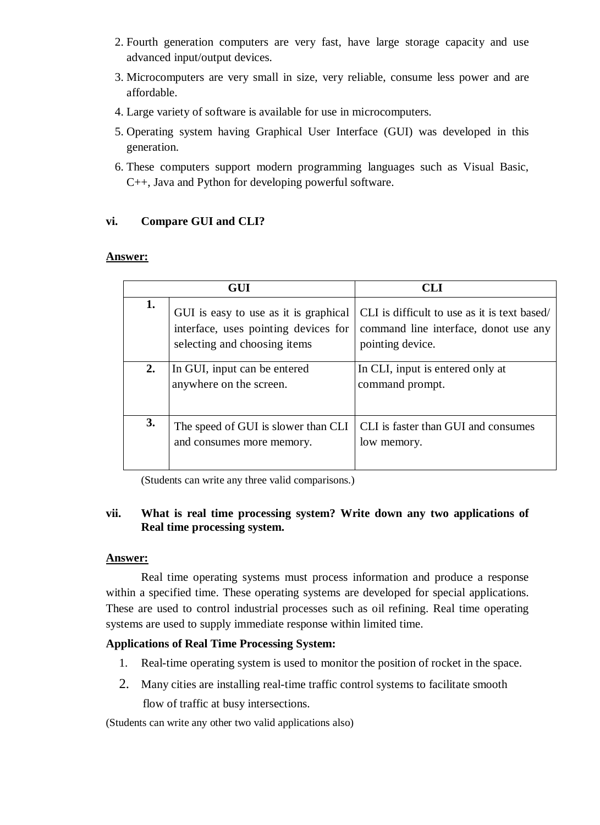- 2. Fourth generation computers are very fast, have large storage capacity and use advanced input/output devices.
- 3. Microcomputers are very small in size, very reliable, consume less power and are affordable.
- 4. Large variety of software is available for use in microcomputers.
- 5. Operating system having Graphical User Interface (GUI) was developed in this generation.
- 6. These computers support modern programming languages such as Visual Basic, C++, Java and Python for developing powerful software.

# **vi. Compare GUI and CLI?**

#### **Answer:**

|    | GUI                                                                                                           | CLI                                                                                                       |
|----|---------------------------------------------------------------------------------------------------------------|-----------------------------------------------------------------------------------------------------------|
| 1. | GUI is easy to use as it is graphical<br>interface, uses pointing devices for<br>selecting and choosing items | CLI is difficult to use as it is text based/<br>command line interface, donot use any<br>pointing device. |
| 2. | In GUI, input can be entered<br>anywhere on the screen.                                                       | In CLI, input is entered only at<br>command prompt.                                                       |
| 3. | The speed of GUI is slower than CLI<br>and consumes more memory.                                              | CLI is faster than GUI and consumes<br>low memory.                                                        |

(Students can write any three valid comparisons.)

# **vii. What is real time processing system? Write down any two applications of Real time processing system.**

#### **Answer:**

Real time operating systems must process information and produce a response within a specified time. These operating systems are developed for special applications. These are used to control industrial processes such as oil refining. Real time operating systems are used to supply immediate response within limited time.

### **Applications of Real Time Processing System:**

- 1. Real-time operating system is used to monitor the position of rocket in the space.
- 2. Many cities are installing real-time traffic control systems to facilitate smooth flow of traffic at busy intersections.

(Students can write any other two valid applications also)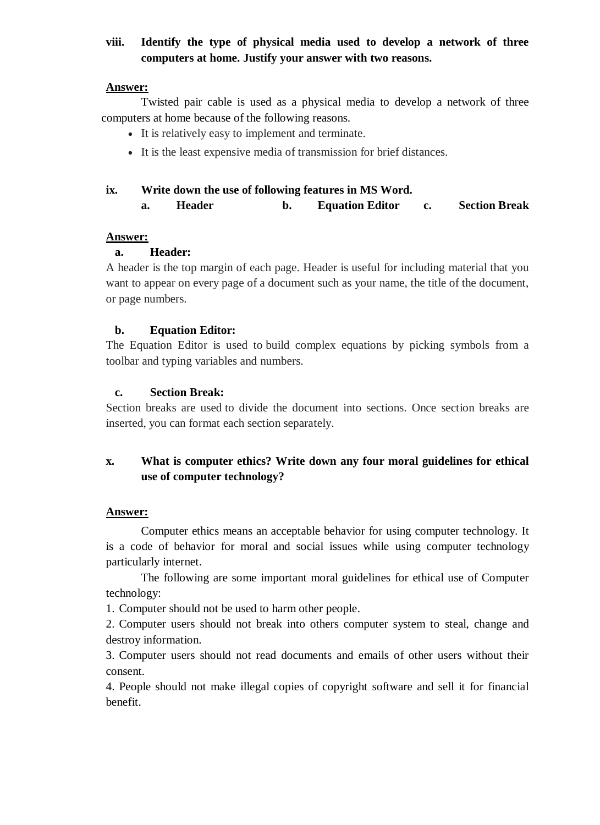# **viii. Identify the type of physical media used to develop a network of three computers at home. Justify your answer with two reasons.**

#### **Answer:**

Twisted pair cable is used as a physical media to develop a network of three computers at home because of the following reasons.

- It is relatively easy to implement and terminate.
- It is the least expensive media of transmission for brief distances.

#### **ix. Write down the use of following features in MS Word.**

**a. Header b. Equation Editor c. Section Break**

#### **Answer:**

### **a. Header:**

A header is the top margin of each page. Header is useful for including material that you want to appear on every page of a document such as your name, the title of the document, or page numbers.

#### **b. Equation Editor:**

The Equation Editor is used to build complex equations by picking symbols from a toolbar and typing variables and numbers.

#### **c. Section Break:**

Section breaks are used to divide the document into sections. Once section breaks are inserted, you can format each section separately.

# **x. What is computer ethics? Write down any four moral guidelines for ethical use of computer technology?**

### **Answer:**

Computer ethics means an acceptable behavior for using computer technology. It is a code of behavior for moral and social issues while using computer technology particularly internet.

The following are some important moral guidelines for ethical use of Computer technology:

1. Computer should not be used to harm other people.

2. Computer users should not break into others computer system to steal, change and destroy information.

3. Computer users should not read documents and emails of other users without their consent.

4. People should not make illegal copies of copyright software and sell it for financial benefit.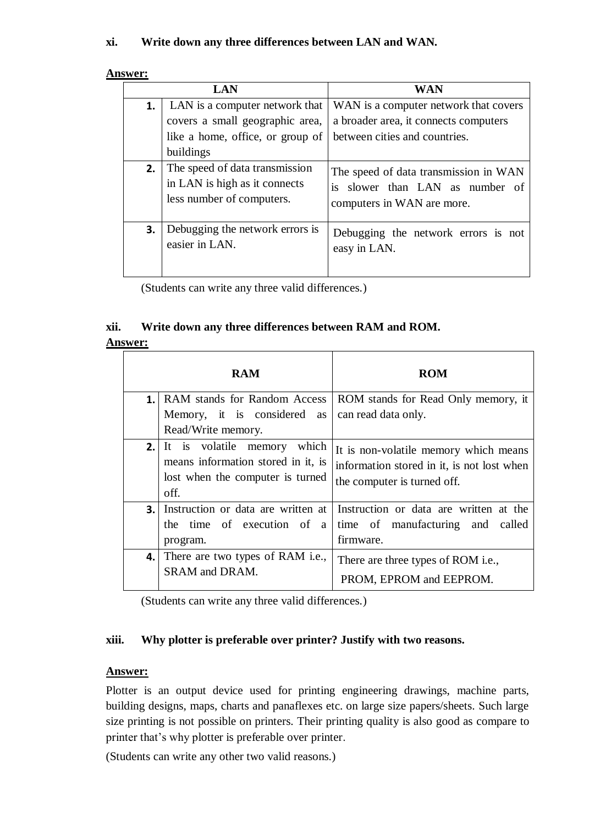# **xi. Write down any three differences between LAN and WAN.**

| <b>Answer:</b> |  |
|----------------|--|
|                |  |

|    | <b>LAN</b>                                                                                   | <b>WAN</b>                                                                                             |  |  |
|----|----------------------------------------------------------------------------------------------|--------------------------------------------------------------------------------------------------------|--|--|
| 1. | LAN is a computer network that                                                               | WAN is a computer network that covers                                                                  |  |  |
|    | covers a small geographic area,                                                              | a broader area, it connects computers                                                                  |  |  |
|    | like a home, office, or group of                                                             | between cities and countries.                                                                          |  |  |
|    | buildings                                                                                    |                                                                                                        |  |  |
| 2. | The speed of data transmission<br>in LAN is high as it connects<br>less number of computers. | The speed of data transmission in WAN<br>is slower than LAN as number of<br>computers in WAN are more. |  |  |
| 3. | Debugging the network errors is<br>easier in LAN.                                            | Debugging the network errors is not<br>easy in LAN.                                                    |  |  |

(Students can write any three valid differences.)

# **xii. Write down any three differences between RAM and ROM.**

#### **Answer:**

|               | <b>RAM</b>                                 | <b>ROM</b>                                                                |
|---------------|--------------------------------------------|---------------------------------------------------------------------------|
| $\mathbf 1$ . | RAM stands for Random Access               | ROM stands for Read Only memory, it                                       |
|               | Memory, it is considered<br>as             | can read data only.                                                       |
|               | Read/Write memory.                         |                                                                           |
|               | <b>2.</b> It is volatile memory which      | It is non-volatile memory which means                                     |
|               | means information stored in it, is         | information stored in it, is not lost when                                |
|               | lost when the computer is turned           | the computer is turned off.                                               |
|               | off.                                       |                                                                           |
| 3.1           |                                            | Instruction or data are written at Instruction or data are written at the |
|               | the time of execution of a                 | time of manufacturing and called                                          |
|               | program.                                   | firmware.                                                                 |
|               | <b>4.</b> There are two types of RAM i.e., | There are three types of ROM i.e.,                                        |
|               | <b>SRAM</b> and DRAM.                      | PROM, EPROM and EEPROM.                                                   |

(Students can write any three valid differences.)

# **xiii. Why plotter is preferable over printer? Justify with two reasons.**

# **Answer:**

Plotter is an output device used for printing engineering drawings, machine parts, building designs, maps, charts and panaflexes etc. on large size papers/sheets. Such large size printing is not possible on printers. Their printing quality is also good as compare to printer that's why plotter is preferable over printer.

(Students can write any other two valid reasons.)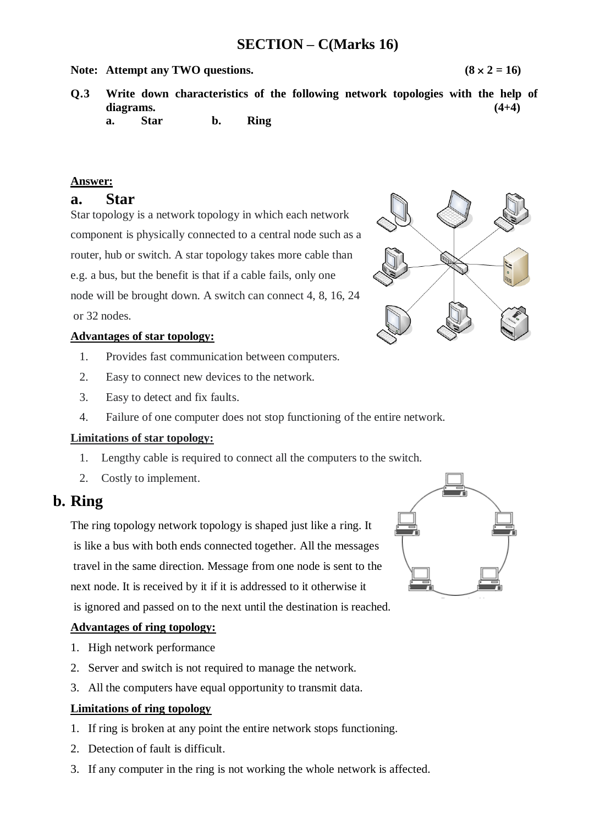# **SECTION – C(Marks 16)**

#### **Note:** Attempt any TWO questions.  $(8 \times 2 = 16)$

- **Q.3 Write down characteristics of the following network topologies with the help of diagrams. (4+4) a. Star b. Ring**
	-

#### **Answer:**

### **a. Star**

Star topology is a network topology in which each network component is physically connected to a central node such as a router, hub or switch. A star topology takes more cable than e.g. a bus, but the benefit is that if a cable fails, only one node will be brought down. A switch can connect 4, 8, 16, 24 or 32 nodes.

#### **Advantages of star topology:**

- 1. Provides fast communication between computers.
- 2. Easy to connect new devices to the network.
- 3. Easy to detect and fix faults.
- 4. Failure of one computer does not stop functioning of the entire network.

#### **Limitations of star topology:**

- 1. Lengthy cable is required to connect all the computers to the switch.
- 2. Costly to implement.

# **b. Ring**

The ring topology network topology is shaped just like a ring. It is like a bus with both ends connected together. All the messages travel in the same direction. Message from one node is sent to the next node. It is received by it if it is addressed to it otherwise it is ignored and passed on to the next until the destination is reached.

#### **Advantages of ring topology:**

- 1. High network performance
- 2. Server and switch is not required to manage the network.
- 3. All the computers have equal opportunity to transmit data.

#### **Limitations of ring topology**

- 1. If ring is broken at any point the entire network stops functioning.
- 2. Detection of fault is difficult.
- 3. If any computer in the ring is not working the whole network is affected.



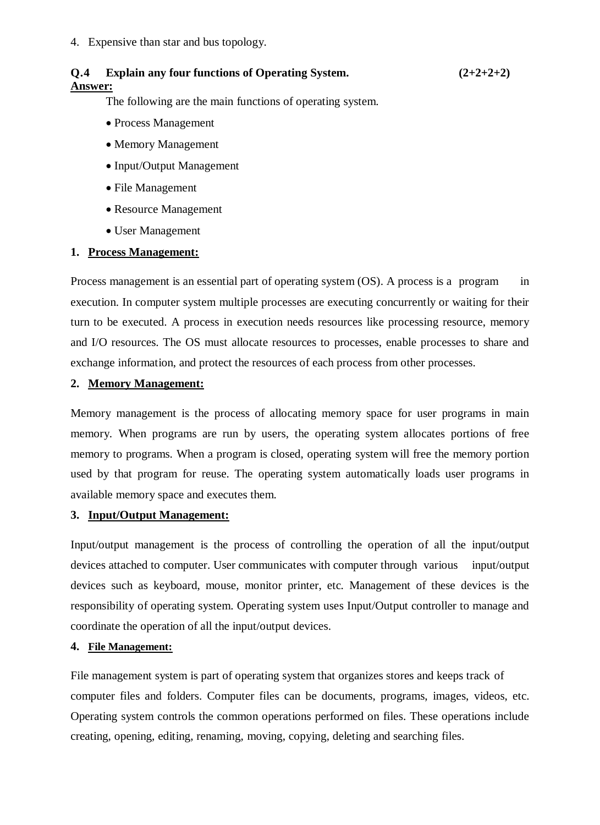4. Expensive than star and bus topology.

# **Q.4 Explain any four functions of Operating System. (2+2+2+2) Answer:**

The following are the main functions of operating system.

- Process Management
- Memory Management
- Input/Output Management
- File Management
- Resource Management
- User Management

#### **1. Process Management:**

Process management is an essential part of operating system (OS). A process is a program in execution. In computer system multiple processes are executing concurrently or waiting for their turn to be executed. A process in execution needs resources like processing resource, memory and I/O resources. The OS must allocate resources to processes, enable processes to share and exchange information, and protect the resources of each process from other processes.

### **2. Memory Management:**

Memory management is the process of allocating memory space for user programs in main memory. When programs are run by users, the operating system allocates portions of free memory to programs. When a program is closed, operating system will free the memory portion used by that program for reuse. The operating system automatically loads user programs in available memory space and executes them.

#### **3. Input/Output Management:**

Input/output management is the process of controlling the operation of all the input/output devices attached to computer. User communicates with computer through various input/output devices such as keyboard, mouse, monitor printer, etc. Management of these devices is the responsibility of operating system. Operating system uses Input/Output controller to manage and coordinate the operation of all the input/output devices.

#### **4. File Management:**

File management system is part of operating system that organizes stores and keeps track of computer files and folders. Computer files can be documents, programs, images, videos, etc. Operating system controls the common operations performed on files. These operations include creating, opening, editing, renaming, moving, copying, deleting and searching files.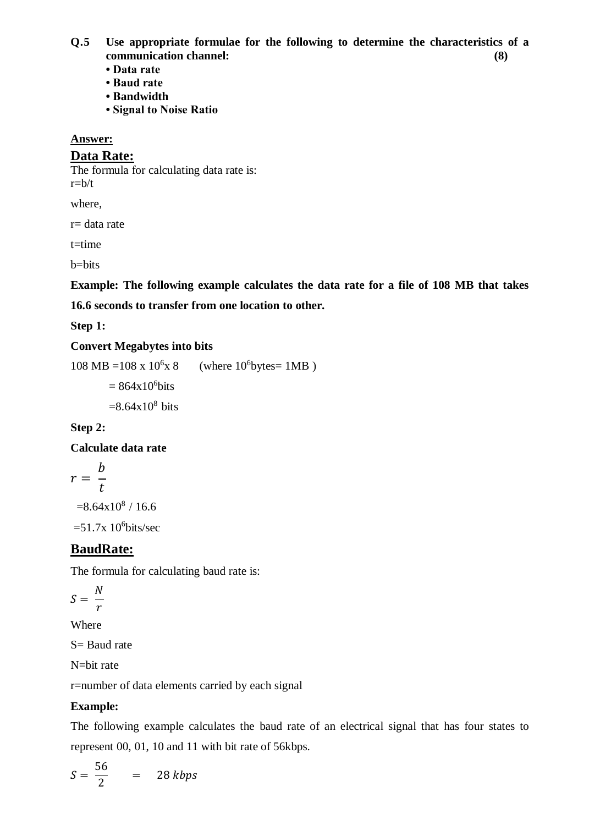**Q.5 Use appropriate formulae for the following to determine the characteristics of a communication channel: (8)**

- **Data rate**
- **Baud rate**
- **Bandwidth**
- **Signal to Noise Ratio**

#### **Answer:**

#### **Data Rate:**

The formula for calculating data rate is:  $r=b/t$ 

where,

r= data rate

t=time

b=bits

**Example: The following example calculates the data rate for a file of 108 MB that takes 16.6 seconds to transfer from one location to other.**

**Step 1:**

### **Convert Megabytes into bits**

 $108 \text{ MB} = 108 \text{ x } 10^6 \text{ x } 8$  $x 8$  (where  $10^6$ bytes=  $1MB$ )

 $= 864x10^6$ bits

 $=8.64x10^{8}$  bits

# **Step 2:**

### **Calculate data rate**

$$
r=\frac{b}{t}
$$

 $=8.64x10^{8}$  / 16.6

 $=51.7x$  10<sup>6</sup>bits/sec

# **BaudRate:**

The formula for calculating baud rate is:

$$
S=\frac{N}{r}
$$

Where

S= Baud rate

N=bit rate

r=number of data elements carried by each signal

### **Example:**

The following example calculates the baud rate of an electrical signal that has four states to represent 00, 01, 10 and 11 with bit rate of 56kbps.

$$
S = \frac{56}{2} = 28 \, kbps
$$